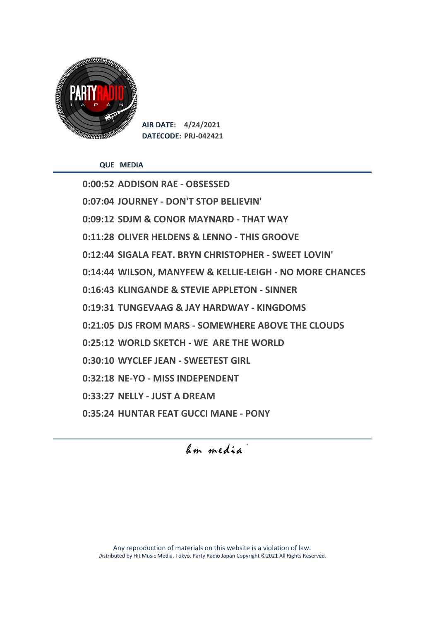

**AIR DATE: 4/24/2021 DATECODE: PRJ-042421**

**QUE MEDIA**

**0:00:52 ADDISON RAE - OBSESSED 0:07:04 JOURNEY - DON'T STOP BELIEVIN' 0:09:12 SDJM & CONOR MAYNARD - THAT WAY 0:11:28 OLIVER HELDENS & LENNO - THIS GROOVE 0:12:44 SIGALA FEAT. BRYN CHRISTOPHER - SWEET LOVIN' 0:14:44 WILSON, MANYFEW & KELLIE-LEIGH - NO MORE CHANCES 0:16:43 KLINGANDE & STEVIE APPLETON - SINNER 0:19:31 TUNGEVAAG & JAY HARDWAY - KINGDOMS 0:21:05 DJS FROM MARS - SOMEWHERE ABOVE THE CLOUDS 0:25:12 WORLD SKETCH - WE ARE THE WORLD 0:30:10 WYCLEF JEAN - SWEETEST GIRL 0:32:18 NE-YO - MISS INDEPENDENT 0:33:27 NELLY - JUST A DREAM 0:35:24 HUNTAR FEAT GUCCI MANE - PONY**

hm media